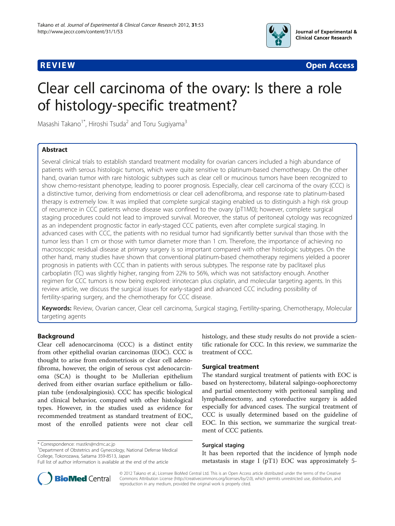



# Clear cell carcinoma of the ovary: Is there a role of histology-specific treatment?

Masashi Takano<sup>1\*</sup>, Hiroshi Tsuda<sup>2</sup> and Toru Sugiyama<sup>3</sup>

# Abstract

Several clinical trials to establish standard treatment modality for ovarian cancers included a high abundance of patients with serous histologic tumors, which were quite sensitive to platinum-based chemotherapy. On the other hand, ovarian tumor with rare histologic subtypes such as clear cell or mucinous tumors have been recognized to show chemo-resistant phenotype, leading to poorer prognosis. Especially, clear cell carcinoma of the ovary (CCC) is a distinctive tumor, deriving from endometriosis or clear cell adenofibroma, and response rate to platinum-based therapy is extremely low. It was implied that complete surgical staging enabled us to distinguish a high risk group of recurrence in CCC patients whose disease was confined to the ovary (pT1M0); however, complete surgical staging procedures could not lead to improved survival. Moreover, the status of peritoneal cytology was recognized as an independent prognostic factor in early-staged CCC patients, even after complete surgical staging. In advanced cases with CCC, the patients with no residual tumor had significantly better survival than those with the tumor less than 1 cm or those with tumor diameter more than 1 cm. Therefore, the importance of achieving no macroscopic residual disease at primary surgery is so important compared with other histologic subtypes. On the other hand, many studies have shown that conventional platinum-based chemotherapy regimens yielded a poorer prognosis in patients with CCC than in patients with serous subtypes. The response rate by paclitaxel plus carboplatin (TC) was slightly higher, ranging from 22% to 56%, which was not satisfactory enough. Another regimen for CCC tumors is now being explored: irinotecan plus cisplatin, and molecular targeting agents. In this review article, we discuss the surgical issues for early-staged and advanced CCC including possibility of fertility-sparing surgery, and the chemotherapy for CCC disease.

Keywords: Review, Ovarian cancer, Clear cell carcinoma, Surgical staging, Fertility-sparing, Chemotherapy, Molecular targeting agents

# Background

Clear cell adenocarcinoma (CCC) is a distinct entity from other epithelial ovarian carcinomas (EOC). CCC is thought to arise from endometriosis or clear cell adenofibroma, however, the origin of serous cyst adenocarcinoma (SCA) is thought to be Mullerian epithelium derived from either ovarian surface epithelium or fallopian tube (endosalpingiosis). CCC has specific biological and clinical behavior, compared with other histological types. However, in the studies used as evidence for recommended treatment as standard treatment of EOC, most of the enrolled patients were not clear cell

\* Correspondence: [mastkn@ndmc.ac.jp](mailto:mastkn@ndmc.ac.jp) <sup>1</sup>

<sup>1</sup>Department of Obstetrics and Gynecology, National Defense Medical College, Tokorozawa, Saitama 359-8513, Japan

histology, and these study results do not provide a scientific rationale for CCC. In this review, we summarize the treatment of CCC.

# Surgical treatment

The standard surgical treatment of patients with EOC is based on hysterectomy, bilateral salpingo-oophorectomy and partial omentectomy with peritoneal sampling and lymphadenectomy, and cytoreductive surgery is added especially for advanced cases. The surgical treatment of CCC is usually determined based on the guideline of EOC. In this section, we summarize the surgical treatment of CCC patients.

#### Surgical staging

It has been reported that the incidence of lymph node metastasis in stage I (pT1) EOC was approximately 5-



© 2012 Takano et al.; Licensee BioMed Central Ltd. This is an Open Access article distributed under the terms of the Creative Commons Attribution License [\(http://creativecommons.org/licenses/by/2.0\)](http://creativecommons.org/licenses/by/2.0), which permits unrestricted use, distribution, and reproduction in any medium, provided the original work is properly cited.

Full list of author information is available at the end of the article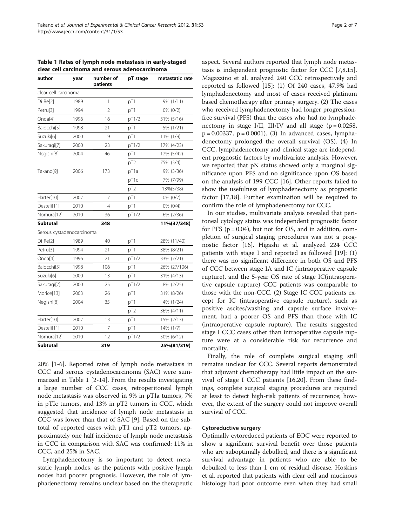Table 1 Rates of lymph node metastasis in early-staged clear cell carcinoma and serous adenocarcinoma

| author                    | year | number of<br>patients    | pT stage        | metastatic rate |
|---------------------------|------|--------------------------|-----------------|-----------------|
| clear cell carcinoma      |      |                          |                 |                 |
| Di Re[2]                  | 1989 | 11                       | pT1             | 9% (1/11)       |
| Petru <sup>[3]</sup>      | 1994 | $\overline{\phantom{a}}$ | pT1             | $0\%$ $(0/2)$   |
| Onda <sup>[4]</sup>       | 1996 | 16                       | pT1/2           | 31% (5/16)      |
| Baiocchi[5]               | 1998 | 21                       | pT1             | 5% (1/21)       |
| Suzuki[6]                 | 2000 | 9                        | pT1             | 11% (1/9)       |
| Sakuragi[7]               | 2000 | 23                       | pT1/2           | 17% (4/23)      |
| Negishi[8]                | 2004 | 46                       | pT1             | 12% (5/42)      |
|                           |      |                          | pT <sub>2</sub> | 75% (3/4)       |
| Takano <sup>[9]</sup>     | 2006 | 173                      | pT1a            | 9% (3/36)       |
|                           |      |                          | pT1c            | 7% (7/99)       |
|                           |      |                          | pT <sub>2</sub> | 13%(5/38)       |
| Harter[10]                | 2007 | 7                        | pT1             | 0% (0/7)        |
| Desteli[11]               | 2010 | 4                        | pT1             | $0\%$ $(0/4)$   |
| Nomura[12]                | 2010 | 36                       | pT1/2           | 6% (2/36)       |
| <b>Subtotal</b>           |      | 348                      |                 | 11%(37/348)     |
| Serous cystadenocarcinoma |      |                          |                 |                 |
| $Di$ Re $[2]$             | 1989 | 40                       | pT1             | 28% (11/40)     |
| Petru[3]                  | 1994 | 21                       | pT1             | 38% (8/21)      |
| Onda <sup>[4]</sup>       | 1996 | 21                       | pT1/2           | 33% (7/21)      |
| Baiocchi[5]               | 1998 | 106                      | pT1             | 26% (27/106)    |
| Suzuki[6]                 | 2000 | 13                       | pT1             | 31% (4/13)      |
| Sakuragi[7]               | 2000 | 25                       | pT1/2           | 8% (2/25)       |
| Morice[13]                | 2003 | 26                       | pT1             | 31% (8/26)      |
| Negishi <sup>[8]</sup>    | 2004 | 35                       | pT1             | 4% (1/24)       |
|                           |      |                          | pT <sub>2</sub> | 36% (4/11)      |
| Harter[10]                | 2007 | 13                       | pT1             | 15% (2/13)      |
| Desteli[11]               | 2010 | 7                        | pT1             | 14% (1/7)       |
| Nomura[12]                | 2010 | 12                       | pT1/2           | 50% (6/12)      |
| <b>Subtotal</b>           |      | 319                      |                 | 25%(81/319)     |

20% [[1-6](#page-5-0)]. Reported rates of lymph node metastasis in CCC and serous cystadenocarcinoma (SAC) were summarized in Table 1 [[2-14](#page-5-0)]. From the results investigating a large number of CCC cases, retroperitoneal lymph node metastasis was observed in 9% in pTIa tumors, 7% in pTIc tumors, and 13% in pT2 tumors in CCC, which suggested that incidence of lymph node metastasis in CCC was lower than that of SAC [[9\]](#page-5-0). Based on the subtotal of reported cases with pT1 and pT2 tumors, approximately one half incidence of lymph node metastasis in CCC in comparison with SAC was confirmed: 11% in CCC, and 25% in SAC.

Lymphadenectomy is so important to detect metastatic lymph nodes, as the patients with positive lymph nodes had poorer prognosis. However, the role of lymphadenectomy remains unclear based on the therapeutic

aspect. Several authors reported that lymph node metastasis is independent prognostic factor for CCC [\[7,8,15](#page-5-0)]. Magazzino et al. analyzed 240 CCC retrospectively and reported as followed [[15\]](#page-5-0): (1) Of 240 cases, 47.9% had lymphadenectomy and most of cases received platinum based chemotherapy after primary surgery. (2) The cases who received lymphadenectomy had longer progressionfree survival (PFS) than the cases who had no lymphadenectomy in stage I/II, III/IV and all stage  $(p = 0.0258,$  $p = 0.00337$ ,  $p = 0.0001$ ). (3) In advanced cases, lymphadenectomy prolonged the overall survival (OS). (4) In CCC, lymphadenectomy and clinical stage are independent prognostic factors by multivariate analysis. However, we reported that pN status showed only a marginal significance upon PFS and no significance upon OS based on the analysis of 199 CCC [[16\]](#page-5-0). Other reports failed to show the usefulness of lymphadenectomy as prognostic factor [\[17,18\]](#page-5-0). Further examination will be required to

In our studies, multivariate analysis revealed that peritoneal cytology status was independent prognostic factor for PFS ( $p = 0.04$ ), but not for OS, and in addition, completion of surgical staging procedures was not a prognostic factor [[16](#page-5-0)]. Higashi et al. analyzed 224 CCC patients with stage I and reported as followed [\[19\]](#page-5-0): (1) there was no significant difference in both OS and PFS of CCC between stage IA and IC (intraoperative capsule rupture), and the 5-year OS rate of stage IC(intraoperative capsule rupture) CCC patients was comparable to those with the non-CCC. (2) Stage IC CCC patients except for IC (intraoperative capsule rupture), such as positive ascites/washing and capsule surface involvement, had a poorer OS and PFS than those with IC (intraoperative capsule rupture). The results suggested stage I CCC cases other than intraoperative capsule rupture were at a considerable risk for recurrence and mortality.

confirm the role of lymphadenectomy for CCC.

Finally, the role of complete surgical staging still remains unclear for CCC. Several reports demonstrated that adjuvant chemotherapy had little impact on the survival of stage I CCC patients [[16,20\]](#page-5-0). From these findings, complete surgical staging procedures are required at least to detect high-risk patients of recurrence; however, the extent of the surgery could not improve overall survival of CCC.

### Cytoreductive surgery

Optimally cytoreduced patients of EOC were reported to show a significant survival benefit over those patients who are suboptimally debulked, and there is a significant survival advantage in patients who are able to be debulked to less than 1 cm of residual disease. Hoskins et al. reported that patients with clear cell and mucinous histology had poor outcome even when they had small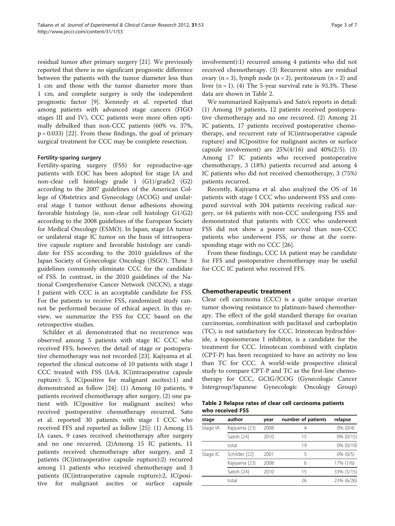residual tumor after primary surgery [\[21](#page-5-0)]. We previously reported that there is no significant prognostic difference between the patients with the tumor diameter less than 1 cm and those with the tumor diameter more than 1 cm, and complete surgery is only the independent prognostic factor [[9\]](#page-5-0). Kennedy et al. reported that among patients with advanced stage cancers (FIGO stages III and IV), CCC patients were more often optimally debulked than non-CCC patients (60% vs. 37%,  $p = 0.033$ ) [[22](#page-5-0)]. From these findings, the goal of primary surgical treatment for CCC may be complete resection.

#### Fertility-sparing surgery

Fertility-sparing surgery (FSS) for reproductive-age patients with EOC has been adopted for stage IA and non-clear cell histology grade 1 (G1)/grade2 (G2) according to the 2007 guidelines of the American College of Obstetrics and Gynecology (ACOG) and unilateral stage I tumor without dense adhesions showing favorable histology (ie, non-clear cell histology G1/G2) according to the 2008 guidelines of the European Society for Medical Oncology (ESMO). In Japan, stage IA tumor or unilateral stage IC tumor on the basis of intraoperative capsule rupture and favorable histology are candidate for FSS according to the 2010 guidelines of the Japan Society of Gynecologic Oncology (JSGO). These 3 guidelines commonly eliminate CCC for the candidate of FSS. In contrast, in the 2010 guidelines of the National Comprehensive Cancer Network (NCCN), a stage I patient with CCC is an acceptable candidate for FSS. For the patients to receive FSS, randomized study cannot be performed because of ethical aspect. In this review, we summarize the FSS for CCC based on the retrospective studies.

Schilder et al. demonstrated that no recurrence was observed among 5 patients with stage IC CCC who received FFS; however, the detail of stage or postoperative chemotherapy was not recorded [\[23](#page-5-0)]. Kajiyama et al. reported the clinical outcome of 10 patients with stage I CCC treated with FSS (IA:4, IC(intraoperative capsule rupture): 5, IC(positive for malignant ascites):1) and demonstrated as follow [[24](#page-5-0)]: (1) Among 10 patients, 9 patients received chemotherapy after surgery, (2) one patient with IC(positive for malignant ascites) who received postoperative chemotherapy recurred. Sato et al. reported 30 patients with stage I CCC who received FFS and reported as follow [\[25](#page-5-0)]: (1) Among 15 IA cases, 9 cases received chemotherapy after surgery and no one recurred, (2)Among 15 IC patients, 11 patients received chemotherapy after surgery, and 2 patients (IC(intraoperative capsule rupture):2) recurred among 11 patients who received chemotherapy and 3 patients (IC(intraoperative capsule rupture):2, IC(positive for malignant ascites or surface capsule involvement):1) recurred among 4 patients who did not received chemotherapy. (3) Recurrent sites are residual ovary  $(n = 3)$ , lymph node  $(n = 2)$ , peritoneum  $(n = 2)$  and liver  $(n = 1)$ . (4) The 5-year survival rate is 93.3%. These data are shown in Table 2.

We summarized Kajiyama's and Sato's reports in detail: (1) Among 19 patients, 12 patients received postoperative chemotherapy and no one recurred. (2) Among 21 IC patients, 17 patients received postoperative chemotherapy, and recurrent rate of IC(intraoperative capsule rupture) and IC(positive for malignant ascites or surface capsule involvement) are  $25\%(4/16)$  and  $40\%(2/5)$ . (3) Among 17 IC patients who received postoperative chemotherapy, 3 (18%) patients recurred and among 4 IC patients who did not received chemotherapy, 3 (75%) patients recurred.

Recently, Kajiyama et al. also analyzed the OS of 16 patients with stage I CCC who underwent FSS and compared survival with 204 patients receiving radical surgery, or 64 patients with non-CCC undergoing FSS and demonstrated that patients with CCC who underwent FSS did not show a poorer survival than non-CCC patients who underwent FSS, or those at the corresponding stage with no CCC [[26\]](#page-5-0).

From these findings, CCC IA patient may be candidate for FFS and postoperative chemotherapy may be useful for CCC IC patient who received FFS.

# Chemotherapeutic treatment

Clear cell carcinoma (CCC) is a quite unique ovarian tumor showing resistance to platinum-based chemotherapy. The effect of the gold standard therapy for ovarian carcinomas, combination with paclitaxel and carboplatin (TC), is not satisfactory for CCC. Irinotecan hydrochloride, a topoisomerase I inhibitor, is a candidate for the treatment for CCC. Irinotecan combined with cisplatin (CPT-P) has been recognized to have an activity no less than TC for CCC. A world-wide prospective clinical study to compare CPT-P and TC as the first-line chemotherapy for CCC, GCIG/JCOG (Gynecologic Cancer Intergroup/Japanese Gynecologic Oncology Group)

Table 2 Relapse rates of clear cell carcinoma patients who received FSS

| stage    | author        | year | number of patients | relapse     |
|----------|---------------|------|--------------------|-------------|
| Stage IA | Kajiyama [23] | 2008 | 4                  | $0\%$ (0/4) |
|          | Satoh [24]    | 2010 | 15                 | 0% (0/15)   |
|          | total         |      | 19                 | 0% (0/19)   |
| Stage IC | Schilder [22] | 2001 | 5                  | $0\%$ (0/5) |
|          | Kajiyama [23] | 2008 | 6                  | 17% (1/6)   |
|          | Satoh [24]    | 2010 | 15                 | 33% (5/15)  |
|          | total         |      | 26                 | 23% (6/26)  |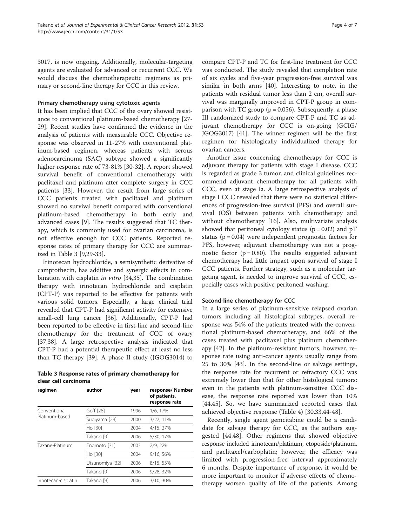3017, is now ongoing. Additionally, molecular-targeting agents are evaluated for advanced or recurrent CCC. We would discuss the chemotherapeutic regimens as primary or second-line therapy for CCC in this review.

### Primary chemotherapy using cytotoxic agents

It has been implied that CCC of the ovary showed resistance to conventional platinum-based chemotherapy [\[27-](#page-5-0) [29\]](#page-5-0). Recent studies have confirmed the evidence in the analysis of patients with measurable CCC. Objective response was observed in 11-27% with conventional platinum-based regimen, whereas patients with serous adenocarcinoma (SAC) subtype showed a significantly higher response rate of 73-81% [\[30-32](#page-5-0)]. A report showed survival benefit of conventional chemotherapy with paclitaxel and platinum after complete surgery in CCC patients [[33\]](#page-5-0). However, the result from large series of CCC patients treated with paclitaxel and platinum showed no survival benefit compared with conventional platinum-based chemotherapy in both early and advanced cases [\[9](#page-5-0)]. The results suggested that TC therapy, which is commonly used for ovarian carcinoma, is not effective enough for CCC patients. Reported response rates of primary therapy for CCC are summarized in Table 3 [\[9,29-33](#page-5-0)].

Irinotecan hydrochloride, a semisynthetic derivative of camptothecin, has additive and synergic effects in combination with cisplatin *in vitro* [\[34,35\]](#page-5-0). The combination therapy with irinotecan hydrochloride and cisplatin (CPT-P) was reported to be effective for patients with various solid tumors. Especially, a large clinical trial revealed that CPT-P had significant activity for extensive small-cell lung cancer [\[36](#page-5-0)]. Additionally, CPT-P had been reported to be effective in first-line and second-line chemotherapy for the treatment of CCC of ovary [[37,38\]](#page-5-0). A large retrospective analysis indicated that CPT-P had a potential therapeutic effect at least no less than TC therapy [\[39](#page-5-0)]. A phase II study (JGOG3014) to

Table 3 Response rates of primary chemotherapy for clear cell carcinoma

| regimen                        | author          | year | response/ Number<br>of patients,<br>response rate |
|--------------------------------|-----------------|------|---------------------------------------------------|
| Conventional<br>Platinum-based | Goff [28]       | 1996 | 1/6, 17%                                          |
|                                | Sugiyama [29]   | 2000 | 3/27, 11%                                         |
|                                | Ho [30]         | 2004 | 4/15, 27%                                         |
|                                | Takano [9]      | 2006 | 5/30, 17%                                         |
| Taxane-Platinum                | Enomoto [31]    | 2003 | 2/9, 22%                                          |
|                                | Ho [30]         | 2004 | 9/16, 56%                                         |
|                                | Utsunomiya [32] | 2006 | 8/15, 53%                                         |
|                                | Takano [9]      | 2006 | 9/28, 32%                                         |
| Irinotecan-cisplatin           | Takano [9]      | 2006 | 3/10, 30%                                         |

compare CPT-P and TC for first-line treatment for CCC was conducted. The study revealed that completion rate of six cycles and five-year progression-free survival was similar in both arms [[40](#page-5-0)]. Interesting to note, in the patients with residual tumor less than 2 cm, overall survival was marginally improved in CPT-P group in comparison with TC group ( $p = 0.056$ ). Subsequently, a phase III randomized study to compare CPT-P and TC as adjuvant chemotherapy for CCC is on-going (GCIG/ JGOG3017) [[41](#page-6-0)]. The winner regimen will be the first regimen for histologically individualized therapy for ovarian cancers.

Another issue concerning chemotherapy for CCC is adjuvant therapy for patients with stage I disease. CCC is regarded as grade 3 tumor, and clinical guidelines recommend adjuvant chemotherapy for all patients with CCC, even at stage Ia. A large retrospective analysis of stage I CCC revealed that there were no statistical differences of progression-free survival (PFS) and overall survival (OS) between patients with chemotherapy and without chemotherapy [[16](#page-5-0)]. Also, multivariate analysis showed that peritoneal cytology status ( $p = 0.02$ ) and  $pT$ status ( $p = 0.04$ ) were independent prognostic factors for PFS, however, adjuvant chemotherapy was not a prognostic factor ( $p = 0.80$ ). The results suggested adjuvant chemotherapy had little impact upon survival of stage I CCC patients. Further strategy, such as a molecular targeting agent, is needed to improve survival of CCC, especially cases with positive peritoneal washing.

# Second-line chemotherapy for CCC

In a large series of platinum-sensitive relapsed ovarian tumors including all histological subtypes, overall response was 54% of the patients treated with the conventional platinum-based chemotherapy, and 66% of the cases treated with paclitaxel plus platinum chemotherapy [[42](#page-6-0)]. In the platinum-resistant tumors, however, response rate using anti-cancer agents usually range from 25 to 30% [\[43](#page-6-0)]. In the second-line or salvage settings, the response rate for recurrent or refractory CCC was extremely lower than that for other histological tumors: even in the patients with platinum-sensitive CCC disease, the response rate reported was lower than 10% [[44,45\]](#page-6-0). So, we have summarized reported cases that achieved objective response (Table [4](#page-4-0)) [\[30,33](#page-5-0)[,44](#page-6-0)-[48](#page-6-0)].

Recently, single agent gemcitabine could be a candidate for salvage therapy for CCC, as the authors suggested [\[44,48\]](#page-6-0). Other regimens that showed objective response included irinotecan/platinum, etoposide/platinum, and paclitaxel/carboplatin; however, the efficacy was limited with progression-free interval approximately 6 months. Despite importance of response, it would be more important to monitor if adverse effects of chemotherapy worsen quality of life of the patients. Among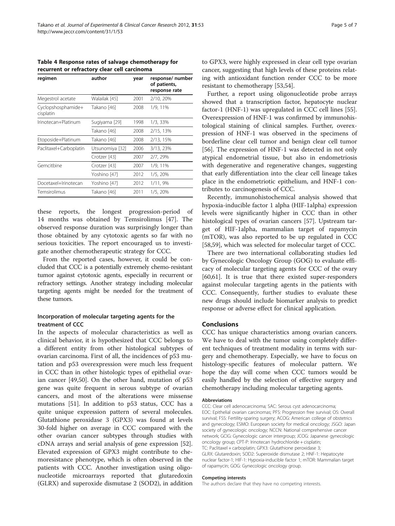<span id="page-4-0"></span>Table 4 Response rates of salvage chemotherapy for recurrent or refractory clear cell carcinoma

| regimen                         | author          | year | response/ number<br>of patients,<br>response rate |
|---------------------------------|-----------------|------|---------------------------------------------------|
| Megestrol acetate               | Walailak [45]   | 2001 | 2/10, 20%                                         |
| Cyclopshosphamide+<br>cisplatin | Takano [46]     | 2008 | 1/9, 11%                                          |
| Irinotecan+Platinum             | Sugiyama [29]   | 1998 | 1/3, 33%                                          |
|                                 | Takano [46]     | 2008 | 2/15, 13%                                         |
| Etoposide+Platinum              | Takano [46]     | 2008 | 2/13, 15%                                         |
| Paclitaxel+Carboplatin          | Utsunomiya [32] | 2006 | 3/13, 23%                                         |
|                                 | Crotzer [43]    | 2007 | 2/7, 29%                                          |
| Gemcitbine                      | Crotzer [43]    | 2007 | 1/9, 11%                                          |
|                                 | Yoshino [47]    | 2012 | 1/5, 20%                                          |
| Docetaxel+Irinotecan            | Yoshino [47]    | 2012 | 1/11, 9%                                          |
| Temsirolimus                    | Takano [46]     | 2011 | 1/5, 20%                                          |

these reports, the longest progression-period of 14 months was obtained by Temsirolimus [\[47](#page-6-0)]. The observed response duration was surprisingly longer than those obtained by any cytotoxic agents so far with no serious toxicities. The report encouraged us to investigate another chemotherapeutic strategy for CCC.

From the reported cases, however, it could be concluded that CCC is a potentially extremely chemo-resistant tumor against cytotoxic agents, especially in recurrent or refractory settings. Another strategy including molecular targeting agents might be needed for the treatment of these tumors.

# Incorporation of molecular targeting agents for the treatment of CCC

In the aspects of molecular characteristics as well as clinical behavior, it is hypothesized that CCC belongs to a different entity from other histological subtypes of ovarian carcinoma. First of all, the incidences of p53 mutation and p53 overexpression were much less frequent in CCC than in other histologic types of epithelial ovarian cancer [\[49,50](#page-6-0)]. On the other hand, mutation of p53 gene was quite frequent in serous subtype of ovarian cancers, and most of the alterations were missense mutations [[51\]](#page-6-0). In addition to p53 status, CCC has a quite unique expression pattern of several molecules. Glutathione peroxidase 3 (GPX3) was found at levels 30-fold higher on average in CCC compared with the other ovarian cancer subtypes through studies with cDNA arrays and serial analysis of gene expression [\[52](#page-6-0)]. Elevated expression of GPX3 might contribute to chemoresistance phenotype, which is often observed in the patients with CCC. Another investigation using oligonucleotide microarrays reported that glutaredoxin (GLRX) and superoxide dismutase 2 (SOD2), in addition

to GPX3, were highly expressed in clear cell type ovarian cancer, suggesting that high levels of these proteins relating with antioxidant function render CCC to be more resistant to chemotherapy [\[53,54](#page-6-0)].

Further, a report using oligonucleotide probe arrays showed that a transcription factor, hepatocyte nuclear factor-1 (HNF-1) was upregulated in CCC cell lines [\[55](#page-6-0)]. Overexpression of HNF-1 was confirmed by immunohistological staining of clinical samples. Further, overexpression of HNF-1 was observed in the specimens of borderline clear cell tumor and benign clear cell tumor [[56\]](#page-6-0). The expression of HNF-1 was detected in not only atypical endometrial tissue, but also in endometriosis with degenerative and regenerative changes, suggesting that early differentiation into the clear cell lineage takes place in the endometriotic epithelium, and HNF-1 contributes to carcinogenesis of CCC.

Recently, immunohistochemical analysis showed that hypoxia-inducible factor 1 alpha (HIF-1alpha) expression levels were significantly higher in CCC than in other histological types of ovarian cancers [[57](#page-6-0)]. Upstream target of HIF-1alpha, mammalian target of rapamycin (mTOR), was also reported to be up regulated in CCC [[58,59\]](#page-6-0), which was selected for molecular target of CCC.

There are two international collaborating studies led by Gynecologic Oncology Group (GOG) to evaluate efficacy of molecular targeting agents for CCC of the ovary [[60,61\]](#page-6-0). It is true that there existed super-responders against molecular targeting agents in the patients with CCC. Consequently, further studies to evaluate these new drugs should include biomarker analysis to predict response or adverse effect for clinical application.

# **Conclusions**

CCC has unique characteristics among ovarian cancers. We have to deal with the tumor using completely different techniques of treatment modality in terms with surgery and chemotherapy. Especially, we have to focus on histology-specific features of molecular pattern. We hope the day will come when CCC tumors would be easily handled by the selection of effective surgery and chemotherapy including molecular targeting agents.

#### Abbreviations

CCC: Clear cell adenocarcinoma; SAC: Serous cyst adenocarcinoma; EOC: Epithelial ovarian carcinomas; PFS: Progression free survival; OS: Overall survival; FSS: Fertility-sparing surgery; ACOG: American college of obstetrics and gynecology; ESMO: European society for medical oncology; JSGO: Japan society of gynecologic oncology; NCCN: National comprehensive cancer network; GCIG: Gynecologic cancer intergroup; JCOG: Japanese gynecologic oncology group; CPT-P: Irinotecan hydrochloride + cisplatin; TC: Paclitaxel + carboplatin; GPX3: Glutathione peroxidase 3; GLRX: Glutaredoxin; SOD2: Superoxide dismutase 2; HNF-1: Hepatocyte nuclear factor-1; HIF-1: Hypoxia-inducible factor 1; mTOR: Mammalian target of rapamycin; GOG: Gynecologic oncology group.

#### Competing interests

The authors declare that they have no competing interests.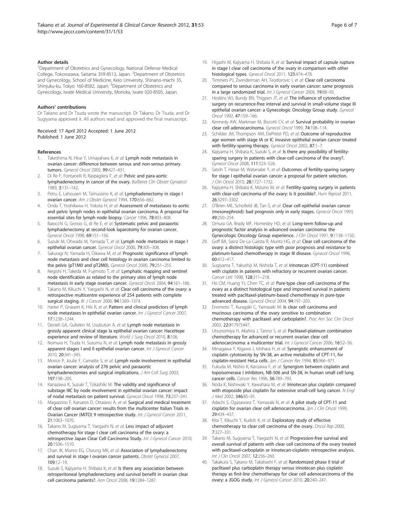#### <span id="page-5-0"></span>Author details

<sup>1</sup>Department of Obstetrics and Gynecology, National Defense Medical College, Tokorozawa, Saitama 359-8513, Japan. <sup>2</sup>Department of Obstetrics and Gynecology, School of Medicine, Keio University, Shinano-machi 35, Shinjuku-ku, Tokyo 160-8582, Japan. <sup>3</sup>Department of Obstetrics and Gynecology, Iwate Medical University, Morioka, Iwate 020-8505, Japan.

#### Authors' contributions

Dr Takano and Dr Tsuda wrote the manuscript. Dr Takano, Dr Tsuda, and Dr Sugiyama approved it. All authors read and approved the final manuscript.

Received: 17 April 2012 Accepted: 1 June 2012 Published: 1 June 2012

#### References

- 1. Takeshima N, Hirai Y, Umayahara K, et al: Lymph node metastasis in ovarian cancer: difference between serous and non-serous primary tumors. Gynecol Oncol 2005, 99:427–431.
- 2. Di Re F, Fontanelli R, Raspagliesi F, et al: Pelvic and para-aortic lymphadenectomy in cancer of the ovary. Baillieres Clin Obstet Gynaecol 1989, 3:131–142.
- 3. Petru E, Lahousen M, Tamussino K, et al: Lymphadenectomy in stage I ovarian cancer. Am J Obstet Gynecol 1994, 170:656–662.
- 4. Onda T, Yoshikawa H, Yokota H, et al: Assessment of metastases to aortic and pelvic lymph nodes in epithelial ovarian carcinoma, A proposal for essential sites for lymph node biopsy. Cancer 1996, 78:803–808.
- Baiocchi G, Grosso G, di Re E, et al: Systematic pelvic and paraaortic lymphadenectomy at second-look laparotomy for ovarian cancer. Gynecol Oncol 1998, 69:151–156.
- Suzuki M, Ohwada M, Yamada T, et al: Lymph node metastasis in stage I epithelial ovarian cancer. Gynecol Oncol 2000, 79:305–308.
- 7. Sakuragi N, Yamada H, Oikawa M, et al: Prognostic significance of lymph node metastasis and clear cell histology in ovarian carcinoma limited to the pelvis (pT1M0 and pT2M0). Gynecol Oncol 2000, 79:251–255.
- Negishi H, Takeda M, Fujimoto T, et al: Lymphatic mapping and sentinel node identification as related to the primary sites of lymph node metastasis in early stage ovarian cancer. Gynecol Oncol 2004, 94:161–166.
- Takano M, Kikuchi Y, Yaegashi N, et al: Clear cell carcinoma of the ovary: a retrospective multicentre experience of 254 patients with complete surgical staging. Br J Cancer 2006, 94:1369-1374.
- 10. Harter P, Gnauert K, Hils R, et al: Pattern and clinical predictors of lymph node metastases in epithelial ovarian cancer. Int J Gynecol Cancer 2007, 17:1238–1244.
- 11. Desteli GA, Gultekin M, Usubutun A, et al: Lymph node metastasis in grossly apparent clinical stage Ia epithelial ovarian cancer: Hacettepe experience and review of literature. World J Surg Oncol 2010, 8:106.
- 12. Nomura H, Tsuda H, Susumu N, et al: Lymph node metastasis in grossly apparent stages I and II epithelial ovarian cancer. Int J Gynecol Cancer 2010, 20:341–345.
- 13. Morice P, Joulie F, Camatte S, et al: Lymph node involvement in epithelial ovarian cancer: analysis of 276 pelvic and paraaortic lymphadenectomies and surgical implications. J Am Coll Surg 2003, 197:198–205.
- 14. Kanazawa K, Suzuki T, Tokashiki M: The validity and significance of substage IIIC by node involvement in epithelial ovarian cancer: impact of nodal metastasis on patient survival. Gynecol Oncol 1998, 73:237–241.
- 15. Magazzino F, Katsaros D, Ottaiano A, et al: Surgical and medical treatment of clear cell ovarian cancer: results from the multicenter Italian Trials in Ovarian Cancer (MITO) 9 retrospective study. Int J Gynecol Cancer 2011, 21:1063–1070.
- 16. Takano M, Sugiyama T, Yaegashi N, et al: Less impact of adjuvant chemotherapy for stage I clear cell carcinoma of the ovary: a retrospective Japan Clear Cell Carcinoma Study. Int J Gynecol Cancer 2010, 20:1506–1510.
- 17. Chan JK, Munro EG, Cheung MK, et al: Association of lymphadenectomy and survival in stage I ovarian cancer patients. Obstet Gynecol 2007, 109:12–19.
- 18. Suzuki S, Kajiyama H, Shibata K, et al: Is there any association between retroperitoneal lymphadenectomy and survival benefit in ovarian clear cell carcinoma patients?. Ann Oncol 2008, 19:1284–1287.
- 19. Higashi M, Kajiyama H, Shibata K, et al: Survival impact of capsule rupture in stage I clear cell carcinoma of the ovary in comparison with other histological types. Gynecol Oncol 2011, 123:474–478.
- 20. Timmers PJ, Zwinderman AH, Teodorovic I, et al: Clear cell carcinoma compared to serous carcinoma in early ovarian cancer: same prognosis in a large randomized trial. Int J Gynecol Cancer 2009, 19:88-93.
- 21. Hoskins WJ, Bundy BN, Thigpen JT, et al: The influence of cytoreductive surgery on recurrence-free interval and survival in small-volume stage III epithelial ovarian cancer: a Gynecologic Oncology Group study. Gynecol Oncol 1992, 47:159–166.
- 22. Kennedy AW, Markman M, Biscotti CV, et al: Survival probability in ovarian clear cell adenocarcinoma. Gynecol Oncol 1999, 74:108–114.
- 23. Schilder JM, Thompson AM, DePriest PD, et al: Outcome of reproductive age women with stage IA or IC invasive epithelial ovarian cancer treated with fertility-sparing therapy. Gynecol Oncol 2002, 87:1-7.
- 24. Kajiyama H, Shibata K, Suzuki S, et al: Is there any possibility of fertilitysparing surgery in patients with clear-cell carcinoma of the ovary?. Gynecol Oncol 2008, 111:523–526.
- 25. Satoh T, Hatae M, Watanabe Y, et al: Outcomes of fertility-sparing surgery for stage I epithelial ovarian cancer: a proposal for patient selection. J Clin Oncol 2010, 28:1727–1732.
- 26. Kajiyama H, Shibata K, Mizuno M, et al: Fertility-sparing surgery in patients with clear-cell carcinoma of the ovary: Is it possible?. Hum Reprod 2011, 26:3297–3302.
- 27. O'Brien ME, Schofield JB, Tan S, et al: Clear cell epithelial ovarian cancer (mesonephroid): bad prognosis only in early stages. Gynecol Oncol 1993, 49:250–254.
- 28. Omura GA, Brady MF, Homesley HD, et al: Long-term follow-up and prognostic factor analysis in advanced ovarian carcinoma: the Gynecologic Oncology Group experience. J Clin Oncol 1991, 9:1138–1150.
- 29. Goff BA, Sainz De La Cuesta R, Muntz HG, et al: Clear cell carcinoma of the ovary: a distinct histologic type with poor prognosis and resistance to platinum-based chemotherapy in stage III disease. Gynecol Oncol 1996, 60:412–417.
- 30. Sugiyama T, Yakushiji M, Nishida T, et al: Irinotecan (CPT-11) combined with cisplatin in patients with refractory or recurrent ovarian cancer. Cancer Lett 1998, 128:211–218.
- 31. Ho CM, Huang YJ, Chen TC, et al: Pure-type clear cell carcinoma of the ovary as a distinct histological type and improved survival in patients treated with paclitaxel-platinum-based chemotherapy in pure-type advanced disease. Gynecol Oncol 2004, 94:197–203.
- 32. Enomoto T, Kuragaki C, Yamasaki M: Is clear cell carcinoma and mucinous carcinoma of the ovary sensitive to combination chemotherapy with paclitaxel and carboplatin?. Proc Am Soc Clin Oncol 2003, 22(#1797):447.
- 33. Utsunomiya H, Akahira J, Tanno S, et al: Paclitaxel-platinum combination chemotherapy for advanced or recurrent ovarian clear cell adenocarcinoma: a multicenter trial. Int J Gynecol Cancer 2006, 16:52-56.
- 34. Minagawa Y, Kigawa J, Ishihara H, et al: Synergistic enhancement of cisplatin cytotoxicity by SN-38, an active metabolite of CPT-11, for cisplatin-resistant HeLa cells. Jpn J Cancer Res 1994, 85:966-971.
- 35. Fukuda M, Nishio K, Kanzawa F, et al: Synergism between cisplatin and topoisomerase I inhibitors, NB-506 and SN-38, in human small cell lung cancer cells. Cancer Res 1996, 56:789–793.
- 36. Noda K, Nishiwaki Y, Kawahara M, et al: Irinotecan plus cisplatin compared with etoposide plus cisplatin for extensive small-cell lung cancer. N Engl J Med 2002, 346:85–91.
- 37. Adachi S, Ogasawara T, Yamasaki N, et al: A pilot study of CPT-11 and cisplatin for ovarian clear cell adenocarcinoma. Jpn J Clin Oncol 1999, 29:434–437.
- 38. Kita T, Kikuchi Y, Kudoh K, et al: Exploratory study of effective chemotherapy to clear cell carcinoma of the ovary. Oncol Rep 2000, 7:327–331.
- 39. Takano M, Sugiyama T, Yaegashi N, et al: Progression-free survival and overall survival of patients with clear cell carcinoma of the ovary treated with paclitaxel-carboplatin or irinotecan-cisplatin: retrospective analysis. Int J Clin Oncol 2007, 12:256–260.
- 40. Takakura S, Takano M, Takahashi F, et al: Randomized phase II trial of paclitaxel plus carboplatin therapy versus irinotecan plus cisplatin therapy as first-line chemotherapy for clear cell adenocarcinoma of the ovary: a JGOG study. Int J Gynecol Cancer 2010, 20:240–247.